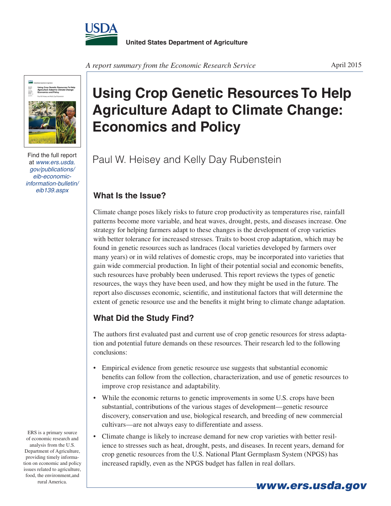



Find the full report at *www.ers.usda. gov/publications/ eib-economicinformation-bulletin/ eib139.aspx*

## **Using Crop Genetic Resources To Help Agriculture Adapt to Climate Change: Economics and Policy**

Paul W. Heisey and Kelly Day Rubenstein

## **What Is the Issue?**

Climate change poses likely risks to future crop productivity as temperatures rise, rainfall patterns become more variable, and heat waves, drought, pests, and diseases increase. One strategy for helping farmers adapt to these changes is the development of crop varieties with better tolerance for increased stresses. Traits to boost crop adaptation, which may be found in genetic resources such as landraces (local varieties developed by farmers over many years) or in wild relatives of domestic crops, may be incorporated into varieties that gain wide commercial production. In light of their potential social and economic benefits, such resources have probably been underused. This report reviews the types of genetic resources, the ways they have been used, and how they might be used in the future. The report also discusses economic, scientific, and institutional factors that will determine the extent of genetic resource use and the benefits it might bring to climate change adaptation.

## **What Did the Study Find?**

The authors first evaluated past and current use of crop genetic resources for stress adaptation and potential future demands on these resources. Their research led to the following conclusions:

- Empirical evidence from genetic resource use suggests that substantial economic benefits can follow from the collection, characterization, and use of genetic resources to improve crop resistance and adaptability.
- While the economic returns to genetic improvements in some U.S. crops have been substantial, contributions of the various stages of development—genetic resource discovery, conservation and use, biological research, and breeding of new commercial cultivars—are not always easy to differentiate and assess.
- Climate change is likely to increase demand for new crop varieties with better resilience to stresses such as heat, drought, pests, and diseases. In recent years, demand for crop genetic resources from the U.S. National Plant Germplasm System (NPGS) has increased rapidly, even as the NPGS budget has fallen in real dollars.

ERS is a primary source of economic research and analysis from the U.S. Department of Agriculture, providing timely information on economic and policy issues related to agriculture, food, the environment,and rural America. *www.ers.usda.gov*